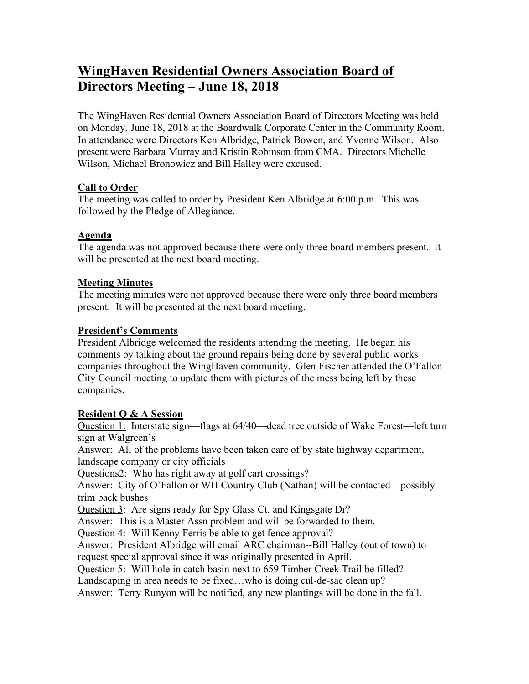# **WingHaven Residential Owners Association Board of Directors Meeting – June 18, 2018**

The WingHaven Residential Owners Association Board of Directors Meeting was held on Monday, June 18, 2018 at the Boardwalk Corporate Center in the Community Room. In attendance were Directors Ken Albridge, Patrick Bowen, and Yvonne Wilson. Also present were Barbara Murray and Kristin Robinson from CMA. Directors Michelle Wilson, Michael Bronowicz and Bill Halley were excused.

### **Call to Order**

The meeting was called to order by President Ken Albridge at 6:00 p.m. This was followed by the Pledge of Allegiance.

# **Agenda**

The agenda was not approved because there were only three board members present. It will be presented at the next board meeting.

## **Meeting Minutes**

The meeting minutes were not approved because there were only three board members present. It will be presented at the next board meeting.

## **President's Comments**

President Albridge welcomed the residents attending the meeting. He began his comments by talking about the ground repairs being done by several public works companies throughout the WingHaven community. Glen Fischer attended the O'Fallon City Council meeting to update them with pictures of the mess being left by these companies.

# **Resident Q & A Session**

Question 1: Interstate sign—flags at 64/40—dead tree outside of Wake Forest—left turn sign at Walgreen's

Answer: All of the problems have been taken care of by state highway department, landscape company or city officials

Questions2: Who has right away at golf cart crossings?

Answer: City of O'Fallon or WH Country Club (Nathan) will be contacted—possibly trim back bushes

Question 3: Are signs ready for Spy Glass Ct. and Kingsgate Dr?

Answer: This is a Master Assn problem and will be forwarded to them.

Question 4: Will Kenny Ferris be able to get fence approval?

Answer: President Albridge will email ARC chairman--Bill Halley (out of town) to request special approval since it was originally presented in April.

Question 5: Will hole in catch basin next to 659 Timber Creek Trail be filled?

Landscaping in area needs to be fixed...who is doing cul-de-sac clean up?

Answer: Terry Runyon will be notified, any new plantings will be done in the fall.